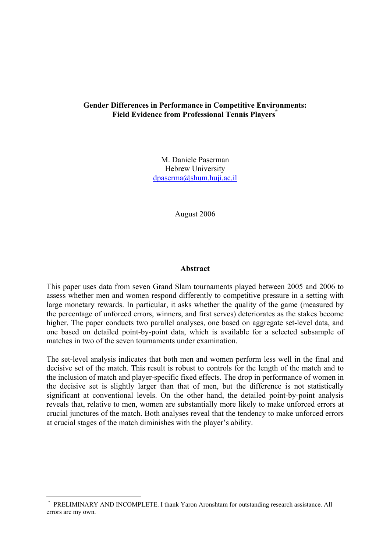# **Gender Differences in Performance in Competitive Environments: Field Evidence from Professional Tennis Players\***

M. Daniele Paserman Hebrew University dpaserma@shum.huji.ac.il

August 2006

#### **Abstract**

This paper uses data from seven Grand Slam tournaments played between 2005 and 2006 to assess whether men and women respond differently to competitive pressure in a setting with large monetary rewards. In particular, it asks whether the quality of the game (measured by the percentage of unforced errors, winners, and first serves) deteriorates as the stakes become higher. The paper conducts two parallel analyses, one based on aggregate set-level data, and one based on detailed point-by-point data, which is available for a selected subsample of matches in two of the seven tournaments under examination.

The set-level analysis indicates that both men and women perform less well in the final and decisive set of the match. This result is robust to controls for the length of the match and to the inclusion of match and player-specific fixed effects. The drop in performance of women in the decisive set is slightly larger than that of men, but the difference is not statistically significant at conventional levels. On the other hand, the detailed point-by-point analysis reveals that, relative to men, women are substantially more likely to make unforced errors at crucial junctures of the match. Both analyses reveal that the tendency to make unforced errors at crucial stages of the match diminishes with the player's ability.

 $\overline{a}$ 

<sup>\*</sup> PRELIMINARY AND INCOMPLETE. I thank Yaron Aronshtam for outstanding research assistance. All errors are my own.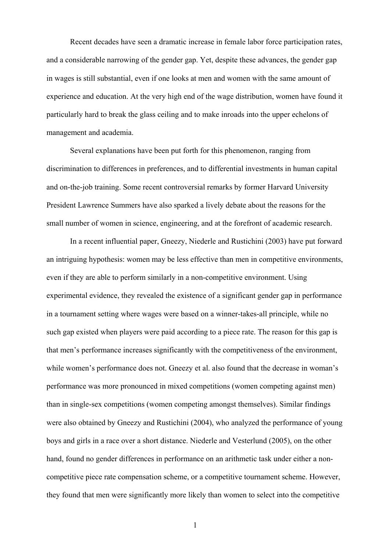Recent decades have seen a dramatic increase in female labor force participation rates, and a considerable narrowing of the gender gap. Yet, despite these advances, the gender gap in wages is still substantial, even if one looks at men and women with the same amount of experience and education. At the very high end of the wage distribution, women have found it particularly hard to break the glass ceiling and to make inroads into the upper echelons of management and academia.

 Several explanations have been put forth for this phenomenon, ranging from discrimination to differences in preferences, and to differential investments in human capital and on-the-job training. Some recent controversial remarks by former Harvard University President Lawrence Summers have also sparked a lively debate about the reasons for the small number of women in science, engineering, and at the forefront of academic research.

 In a recent influential paper, Gneezy, Niederle and Rustichini (2003) have put forward an intriguing hypothesis: women may be less effective than men in competitive environments, even if they are able to perform similarly in a non-competitive environment. Using experimental evidence, they revealed the existence of a significant gender gap in performance in a tournament setting where wages were based on a winner-takes-all principle, while no such gap existed when players were paid according to a piece rate. The reason for this gap is that men's performance increases significantly with the competitiveness of the environment, while women's performance does not. Gneezy et al. also found that the decrease in woman's performance was more pronounced in mixed competitions (women competing against men) than in single-sex competitions (women competing amongst themselves). Similar findings were also obtained by Gneezy and Rustichini (2004), who analyzed the performance of young boys and girls in a race over a short distance. Niederle and Vesterlund (2005), on the other hand, found no gender differences in performance on an arithmetic task under either a noncompetitive piece rate compensation scheme, or a competitive tournament scheme. However, they found that men were significantly more likely than women to select into the competitive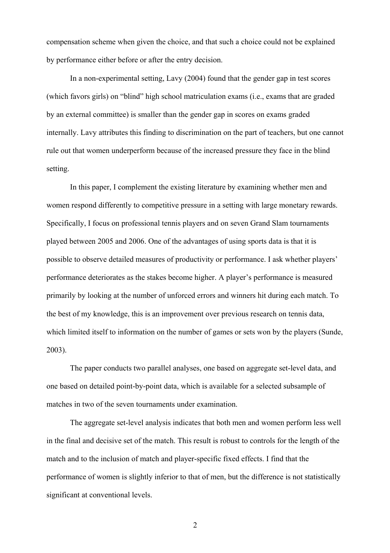compensation scheme when given the choice, and that such a choice could not be explained by performance either before or after the entry decision.

In a non-experimental setting, Lavy (2004) found that the gender gap in test scores (which favors girls) on "blind" high school matriculation exams (i.e., exams that are graded by an external committee) is smaller than the gender gap in scores on exams graded internally. Lavy attributes this finding to discrimination on the part of teachers, but one cannot rule out that women underperform because of the increased pressure they face in the blind setting.

In this paper, I complement the existing literature by examining whether men and women respond differently to competitive pressure in a setting with large monetary rewards. Specifically, I focus on professional tennis players and on seven Grand Slam tournaments played between 2005 and 2006. One of the advantages of using sports data is that it is possible to observe detailed measures of productivity or performance. I ask whether players' performance deteriorates as the stakes become higher. A player's performance is measured primarily by looking at the number of unforced errors and winners hit during each match. To the best of my knowledge, this is an improvement over previous research on tennis data, which limited itself to information on the number of games or sets won by the players (Sunde, 2003).

The paper conducts two parallel analyses, one based on aggregate set-level data, and one based on detailed point-by-point data, which is available for a selected subsample of matches in two of the seven tournaments under examination.

The aggregate set-level analysis indicates that both men and women perform less well in the final and decisive set of the match. This result is robust to controls for the length of the match and to the inclusion of match and player-specific fixed effects. I find that the performance of women is slightly inferior to that of men, but the difference is not statistically significant at conventional levels.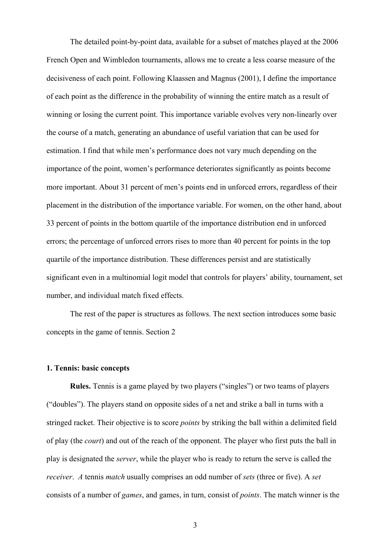The detailed point-by-point data, available for a subset of matches played at the 2006 French Open and Wimbledon tournaments, allows me to create a less coarse measure of the decisiveness of each point. Following Klaassen and Magnus (2001), I define the importance of each point as the difference in the probability of winning the entire match as a result of winning or losing the current point. This importance variable evolves very non-linearly over the course of a match, generating an abundance of useful variation that can be used for estimation. I find that while men's performance does not vary much depending on the importance of the point, women's performance deteriorates significantly as points become more important. About 31 percent of men's points end in unforced errors, regardless of their placement in the distribution of the importance variable. For women, on the other hand, about 33 percent of points in the bottom quartile of the importance distribution end in unforced errors; the percentage of unforced errors rises to more than 40 percent for points in the top quartile of the importance distribution. These differences persist and are statistically significant even in a multinomial logit model that controls for players' ability, tournament, set number, and individual match fixed effects.

 The rest of the paper is structures as follows. The next section introduces some basic concepts in the game of tennis. Section 2

## **1. Tennis: basic concepts**

**Rules.** Tennis is a game played by two players ("singles") or two teams of players ("doubles"). The players stand on opposite sides of a net and strike a ball in turns with a stringed racket. Their objective is to score *points* by striking the ball within a delimited field of play (the *court*) and out of the reach of the opponent. The player who first puts the ball in play is designated the *server*, while the player who is ready to return the serve is called the *receiver*. *A* tennis *match* usually comprises an odd number of *sets* (three or five). A *set* consists of a number of *games*, and games, in turn, consist of *points*. The match winner is the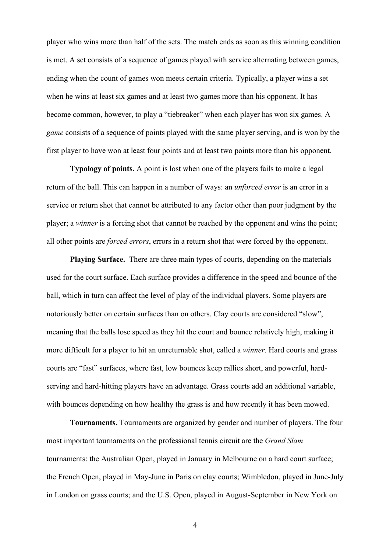player who wins more than half of the sets. The match ends as soon as this winning condition is met. A set consists of a sequence of games played with service alternating between games, ending when the count of games won meets certain criteria. Typically, a player wins a set when he wins at least six games and at least two games more than his opponent. It has become common, however, to play a "tiebreaker" when each player has won six games. A *game* consists of a sequence of points played with the same player serving, and is won by the first player to have won at least four points and at least two points more than his opponent.

**Typology of points.** A point is lost when one of the players fails to make a legal return of the ball. This can happen in a number of ways: an *unforced error* is an error in a service or return shot that cannot be attributed to any factor other than poor judgment by the player; a *winner* is a forcing shot that cannot be reached by the opponent and wins the point; all other points are *forced errors*, errors in a return shot that were forced by the opponent.

**Playing Surface.** There are three main types of courts, depending on the materials used for the court surface. Each surface provides a difference in the speed and bounce of the ball, which in turn can affect the level of play of the individual players. Some players are notoriously better on certain surfaces than on others. Clay courts are considered "slow", meaning that the balls lose speed as they hit the court and bounce relatively high, making it more difficult for a player to hit an unreturnable shot, called a *winner*. Hard courts and grass courts are "fast" surfaces, where fast, low bounces keep rallies short, and powerful, hardserving and hard-hitting players have an advantage. Grass courts add an additional variable, with bounces depending on how healthy the grass is and how recently it has been mowed.

**Tournaments.** Tournaments are organized by gender and number of players. The four most important tournaments on the professional tennis circuit are the *Grand Slam*  tournaments: the Australian Open, played in January in Melbourne on a hard court surface; the French Open, played in May-June in Paris on clay courts; Wimbledon, played in June-July in London on grass courts; and the U.S. Open, played in August-September in New York on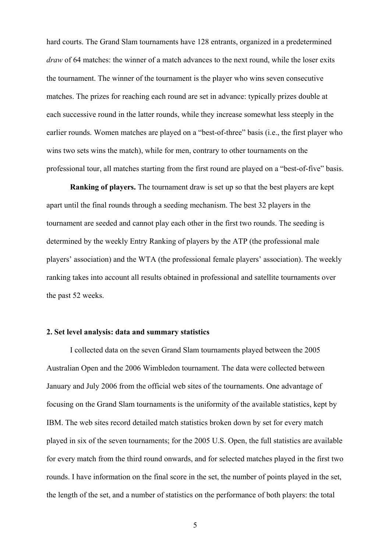hard courts. The Grand Slam tournaments have 128 entrants, organized in a predetermined *draw* of 64 matches: the winner of a match advances to the next round, while the loser exits the tournament. The winner of the tournament is the player who wins seven consecutive matches. The prizes for reaching each round are set in advance: typically prizes double at each successive round in the latter rounds, while they increase somewhat less steeply in the earlier rounds. Women matches are played on a "best-of-three" basis (i.e., the first player who wins two sets wins the match), while for men, contrary to other tournaments on the professional tour, all matches starting from the first round are played on a "best-of-five" basis.

**Ranking of players.** The tournament draw is set up so that the best players are kept apart until the final rounds through a seeding mechanism. The best 32 players in the tournament are seeded and cannot play each other in the first two rounds. The seeding is determined by the weekly Entry Ranking of players by the ATP (the professional male players' association) and the WTA (the professional female players' association). The weekly ranking takes into account all results obtained in professional and satellite tournaments over the past 52 weeks.

#### **2. Set level analysis: data and summary statistics**

 I collected data on the seven Grand Slam tournaments played between the 2005 Australian Open and the 2006 Wimbledon tournament. The data were collected between January and July 2006 from the official web sites of the tournaments. One advantage of focusing on the Grand Slam tournaments is the uniformity of the available statistics, kept by IBM. The web sites record detailed match statistics broken down by set for every match played in six of the seven tournaments; for the 2005 U.S. Open, the full statistics are available for every match from the third round onwards, and for selected matches played in the first two rounds. I have information on the final score in the set, the number of points played in the set, the length of the set, and a number of statistics on the performance of both players: the total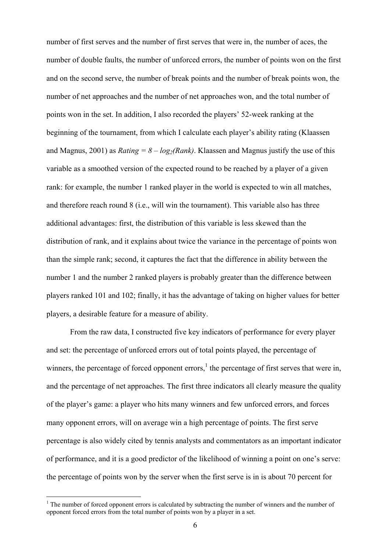number of first serves and the number of first serves that were in, the number of aces, the number of double faults, the number of unforced errors, the number of points won on the first and on the second serve, the number of break points and the number of break points won, the number of net approaches and the number of net approaches won, and the total number of points won in the set. In addition, I also recorded the players' 52-week ranking at the beginning of the tournament, from which I calculate each player's ability rating (Klaassen and Magnus, 2001) as *Rating* =  $8 - log_2(Rank)$ . Klaassen and Magnus justify the use of this variable as a smoothed version of the expected round to be reached by a player of a given rank: for example, the number 1 ranked player in the world is expected to win all matches, and therefore reach round 8 (i.e., will win the tournament). This variable also has three additional advantages: first, the distribution of this variable is less skewed than the distribution of rank, and it explains about twice the variance in the percentage of points won than the simple rank; second, it captures the fact that the difference in ability between the number 1 and the number 2 ranked players is probably greater than the difference between players ranked 101 and 102; finally, it has the advantage of taking on higher values for better players, a desirable feature for a measure of ability.

 From the raw data, I constructed five key indicators of performance for every player and set: the percentage of unforced errors out of total points played, the percentage of winners, the percentage of forced opponent errors, $<sup>1</sup>$  the percentage of first serves that were in,</sup> and the percentage of net approaches. The first three indicators all clearly measure the quality of the player's game: a player who hits many winners and few unforced errors, and forces many opponent errors, will on average win a high percentage of points. The first serve percentage is also widely cited by tennis analysts and commentators as an important indicator of performance, and it is a good predictor of the likelihood of winning a point on one's serve: the percentage of points won by the server when the first serve is in is about 70 percent for

 $\overline{a}$ 

 $<sup>1</sup>$  The number of forced opponent errors is calculated by subtracting the number of winners and the number of</sup> opponent forced errors from the total number of points won by a player in a set.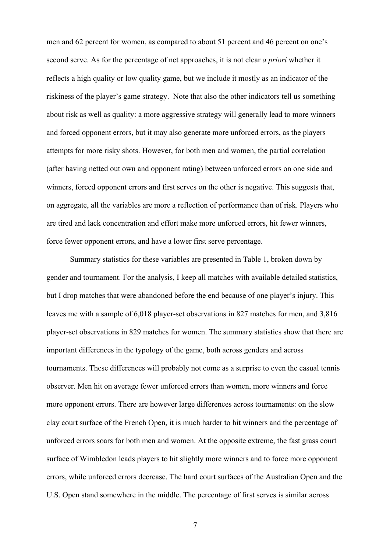men and 62 percent for women, as compared to about 51 percent and 46 percent on one's second serve. As for the percentage of net approaches, it is not clear *a priori* whether it reflects a high quality or low quality game, but we include it mostly as an indicator of the riskiness of the player's game strategy. Note that also the other indicators tell us something about risk as well as quality: a more aggressive strategy will generally lead to more winners and forced opponent errors, but it may also generate more unforced errors, as the players attempts for more risky shots. However, for both men and women, the partial correlation (after having netted out own and opponent rating) between unforced errors on one side and winners, forced opponent errors and first serves on the other is negative. This suggests that, on aggregate, all the variables are more a reflection of performance than of risk. Players who are tired and lack concentration and effort make more unforced errors, hit fewer winners, force fewer opponent errors, and have a lower first serve percentage.

 Summary statistics for these variables are presented in Table 1, broken down by gender and tournament. For the analysis, I keep all matches with available detailed statistics, but I drop matches that were abandoned before the end because of one player's injury. This leaves me with a sample of 6,018 player-set observations in 827 matches for men, and 3,816 player-set observations in 829 matches for women. The summary statistics show that there are important differences in the typology of the game, both across genders and across tournaments. These differences will probably not come as a surprise to even the casual tennis observer. Men hit on average fewer unforced errors than women, more winners and force more opponent errors. There are however large differences across tournaments: on the slow clay court surface of the French Open, it is much harder to hit winners and the percentage of unforced errors soars for both men and women. At the opposite extreme, the fast grass court surface of Wimbledon leads players to hit slightly more winners and to force more opponent errors, while unforced errors decrease. The hard court surfaces of the Australian Open and the U.S. Open stand somewhere in the middle. The percentage of first serves is similar across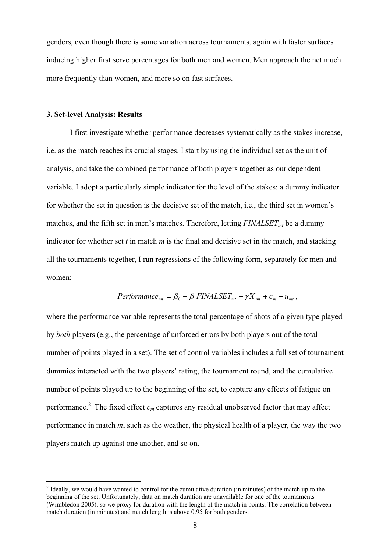genders, even though there is some variation across tournaments, again with faster surfaces inducing higher first serve percentages for both men and women. Men approach the net much more frequently than women, and more so on fast surfaces.

## **3. Set-level Analysis: Results**

I first investigate whether performance decreases systematically as the stakes increase, i.e. as the match reaches its crucial stages. I start by using the individual set as the unit of analysis, and take the combined performance of both players together as our dependent variable. I adopt a particularly simple indicator for the level of the stakes: a dummy indicator for whether the set in question is the decisive set of the match, i.e., the third set in women's matches, and the fifth set in men's matches. Therefore, letting  $FINALSET<sub>mt</sub>$  be a dummy indicator for whether set *t* in match *m* is the final and decisive set in the match, and stacking all the tournaments together, I run regressions of the following form, separately for men and women:

$$
Performance_{mt} = \beta_0 + \beta_1 FINALSET_{mt} + \gamma X_{mt} + c_m + u_{mt},
$$

where the performance variable represents the total percentage of shots of a given type played by *both* players (e.g., the percentage of unforced errors by both players out of the total number of points played in a set). The set of control variables includes a full set of tournament dummies interacted with the two players' rating, the tournament round, and the cumulative number of points played up to the beginning of the set, to capture any effects of fatigue on performance.<sup>2</sup> The fixed effect  $c_m$  captures any residual unobserved factor that may affect performance in match *m*, such as the weather, the physical health of a player, the way the two players match up against one another, and so on.

<sup>&</sup>lt;sup>2</sup> Ideally, we would have wanted to control for the cumulative duration (in minutes) of the match up to the beginning of the set. Unfortunately, data on match duration are unavailable for one of the tournaments (Wimbledon 2005), so we proxy for duration with the length of the match in points. The correlation between match duration (in minutes) and match length is above 0.95 for both genders.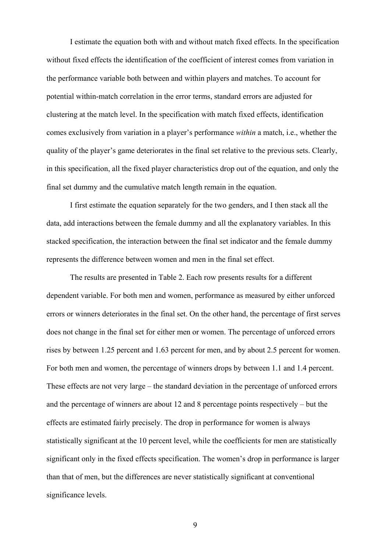I estimate the equation both with and without match fixed effects. In the specification without fixed effects the identification of the coefficient of interest comes from variation in the performance variable both between and within players and matches. To account for potential within-match correlation in the error terms, standard errors are adjusted for clustering at the match level. In the specification with match fixed effects, identification comes exclusively from variation in a player's performance *within* a match, i.e., whether the quality of the player's game deteriorates in the final set relative to the previous sets. Clearly, in this specification, all the fixed player characteristics drop out of the equation, and only the final set dummy and the cumulative match length remain in the equation.

I first estimate the equation separately for the two genders, and I then stack all the data, add interactions between the female dummy and all the explanatory variables. In this stacked specification, the interaction between the final set indicator and the female dummy represents the difference between women and men in the final set effect.

The results are presented in Table 2. Each row presents results for a different dependent variable. For both men and women, performance as measured by either unforced errors or winners deteriorates in the final set. On the other hand, the percentage of first serves does not change in the final set for either men or women. The percentage of unforced errors rises by between 1.25 percent and 1.63 percent for men, and by about 2.5 percent for women. For both men and women, the percentage of winners drops by between 1.1 and 1.4 percent. These effects are not very large – the standard deviation in the percentage of unforced errors and the percentage of winners are about 12 and 8 percentage points respectively – but the effects are estimated fairly precisely. The drop in performance for women is always statistically significant at the 10 percent level, while the coefficients for men are statistically significant only in the fixed effects specification. The women's drop in performance is larger than that of men, but the differences are never statistically significant at conventional significance levels.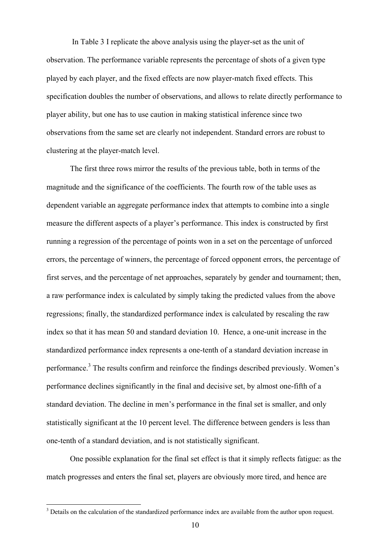In Table 3 I replicate the above analysis using the player-set as the unit of observation. The performance variable represents the percentage of shots of a given type played by each player, and the fixed effects are now player-match fixed effects. This specification doubles the number of observations, and allows to relate directly performance to player ability, but one has to use caution in making statistical inference since two observations from the same set are clearly not independent. Standard errors are robust to clustering at the player-match level.

The first three rows mirror the results of the previous table, both in terms of the magnitude and the significance of the coefficients. The fourth row of the table uses as dependent variable an aggregate performance index that attempts to combine into a single measure the different aspects of a player's performance. This index is constructed by first running a regression of the percentage of points won in a set on the percentage of unforced errors, the percentage of winners, the percentage of forced opponent errors, the percentage of first serves, and the percentage of net approaches, separately by gender and tournament; then, a raw performance index is calculated by simply taking the predicted values from the above regressions; finally, the standardized performance index is calculated by rescaling the raw index so that it has mean 50 and standard deviation 10. Hence, a one-unit increase in the standardized performance index represents a one-tenth of a standard deviation increase in performance.<sup>3</sup> The results confirm and reinforce the findings described previously. Women's performance declines significantly in the final and decisive set, by almost one-fifth of a standard deviation. The decline in men's performance in the final set is smaller, and only statistically significant at the 10 percent level. The difference between genders is less than one-tenth of a standard deviation, and is not statistically significant.

One possible explanation for the final set effect is that it simply reflects fatigue: as the match progresses and enters the final set, players are obviously more tired, and hence are

 $\overline{a}$ 

<sup>&</sup>lt;sup>3</sup> Details on the calculation of the standardized performance index are available from the author upon request.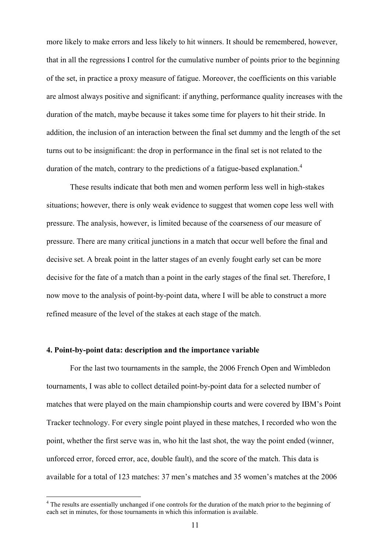more likely to make errors and less likely to hit winners. It should be remembered, however, that in all the regressions I control for the cumulative number of points prior to the beginning of the set, in practice a proxy measure of fatigue. Moreover, the coefficients on this variable are almost always positive and significant: if anything, performance quality increases with the duration of the match, maybe because it takes some time for players to hit their stride. In addition, the inclusion of an interaction between the final set dummy and the length of the set turns out to be insignificant: the drop in performance in the final set is not related to the duration of the match, contrary to the predictions of a fatigue-based explanation.<sup>4</sup>

These results indicate that both men and women perform less well in high-stakes situations; however, there is only weak evidence to suggest that women cope less well with pressure. The analysis, however, is limited because of the coarseness of our measure of pressure. There are many critical junctions in a match that occur well before the final and decisive set. A break point in the latter stages of an evenly fought early set can be more decisive for the fate of a match than a point in the early stages of the final set. Therefore, I now move to the analysis of point-by-point data, where I will be able to construct a more refined measure of the level of the stakes at each stage of the match.

## **4. Point-by-point data: description and the importance variable**

 $\overline{a}$ 

 For the last two tournaments in the sample, the 2006 French Open and Wimbledon tournaments, I was able to collect detailed point-by-point data for a selected number of matches that were played on the main championship courts and were covered by IBM's Point Tracker technology. For every single point played in these matches, I recorded who won the point, whether the first serve was in, who hit the last shot, the way the point ended (winner, unforced error, forced error, ace, double fault), and the score of the match. This data is available for a total of 123 matches: 37 men's matches and 35 women's matches at the 2006

<sup>&</sup>lt;sup>4</sup> The results are essentially unchanged if one controls for the duration of the match prior to the beginning of each set in minutes, for those tournaments in which this information is available.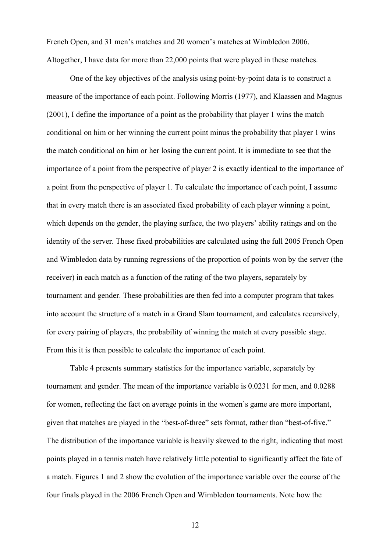French Open, and 31 men's matches and 20 women's matches at Wimbledon 2006. Altogether, I have data for more than 22,000 points that were played in these matches.

 One of the key objectives of the analysis using point-by-point data is to construct a measure of the importance of each point. Following Morris (1977), and Klaassen and Magnus (2001), I define the importance of a point as the probability that player 1 wins the match conditional on him or her winning the current point minus the probability that player 1 wins the match conditional on him or her losing the current point. It is immediate to see that the importance of a point from the perspective of player 2 is exactly identical to the importance of a point from the perspective of player 1. To calculate the importance of each point, I assume that in every match there is an associated fixed probability of each player winning a point, which depends on the gender, the playing surface, the two players' ability ratings and on the identity of the server. These fixed probabilities are calculated using the full 2005 French Open and Wimbledon data by running regressions of the proportion of points won by the server (the receiver) in each match as a function of the rating of the two players, separately by tournament and gender. These probabilities are then fed into a computer program that takes into account the structure of a match in a Grand Slam tournament, and calculates recursively, for every pairing of players, the probability of winning the match at every possible stage. From this it is then possible to calculate the importance of each point.

 Table 4 presents summary statistics for the importance variable, separately by tournament and gender. The mean of the importance variable is 0.0231 for men, and 0.0288 for women, reflecting the fact on average points in the women's game are more important, given that matches are played in the "best-of-three" sets format, rather than "best-of-five." The distribution of the importance variable is heavily skewed to the right, indicating that most points played in a tennis match have relatively little potential to significantly affect the fate of a match. Figures 1 and 2 show the evolution of the importance variable over the course of the four finals played in the 2006 French Open and Wimbledon tournaments. Note how the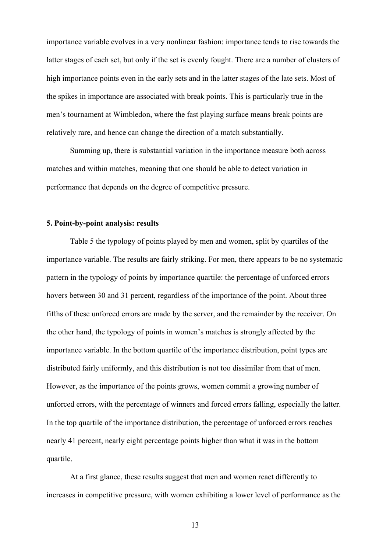importance variable evolves in a very nonlinear fashion: importance tends to rise towards the latter stages of each set, but only if the set is evenly fought. There are a number of clusters of high importance points even in the early sets and in the latter stages of the late sets. Most of the spikes in importance are associated with break points. This is particularly true in the men's tournament at Wimbledon, where the fast playing surface means break points are relatively rare, and hence can change the direction of a match substantially.

 Summing up, there is substantial variation in the importance measure both across matches and within matches, meaning that one should be able to detect variation in performance that depends on the degree of competitive pressure.

#### **5. Point-by-point analysis: results**

Table 5 the typology of points played by men and women, split by quartiles of the importance variable. The results are fairly striking. For men, there appears to be no systematic pattern in the typology of points by importance quartile: the percentage of unforced errors hovers between 30 and 31 percent, regardless of the importance of the point. About three fifths of these unforced errors are made by the server, and the remainder by the receiver. On the other hand, the typology of points in women's matches is strongly affected by the importance variable. In the bottom quartile of the importance distribution, point types are distributed fairly uniformly, and this distribution is not too dissimilar from that of men. However, as the importance of the points grows, women commit a growing number of unforced errors, with the percentage of winners and forced errors falling, especially the latter. In the top quartile of the importance distribution, the percentage of unforced errors reaches nearly 41 percent, nearly eight percentage points higher than what it was in the bottom quartile.

 At a first glance, these results suggest that men and women react differently to increases in competitive pressure, with women exhibiting a lower level of performance as the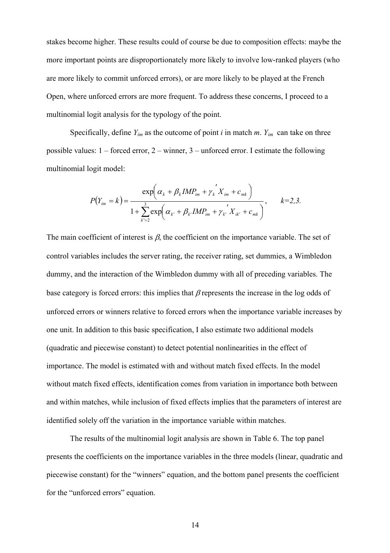stakes become higher. These results could of course be due to composition effects: maybe the more important points are disproportionately more likely to involve low-ranked players (who are more likely to commit unforced errors), or are more likely to be played at the French Open, where unforced errors are more frequent. To address these concerns, I proceed to a multinomial logit analysis for the typology of the point.

Specifically, define  $Y_{im}$  as the outcome of point *i* in match *m*.  $Y_{im}$  can take on three possible values: 1 – forced error, 2 – winner, 3 – unforced error. I estimate the following multinomial logit model:

$$
P(Y_{im} = k) = \frac{\exp\left(\alpha_{k} + \beta_{k} I M P_{im} + \gamma_{k}^{'} X_{im} + c_{mk}\right)}{1 + \sum_{k'=2}^{3} \exp\left(\alpha_{k'} + \beta_{k'} I M P_{im} + \gamma_{k'}^{'} X_{ik'} + c_{mk}\right)}, \qquad k = 2, 3.
$$

The main coefficient of interest is  $\beta$ , the coefficient on the importance variable. The set of control variables includes the server rating, the receiver rating, set dummies, a Wimbledon dummy, and the interaction of the Wimbledon dummy with all of preceding variables. The base category is forced errors: this implies that  $\beta$  represents the increase in the log odds of unforced errors or winners relative to forced errors when the importance variable increases by one unit. In addition to this basic specification, I also estimate two additional models (quadratic and piecewise constant) to detect potential nonlinearities in the effect of importance. The model is estimated with and without match fixed effects. In the model without match fixed effects, identification comes from variation in importance both between and within matches, while inclusion of fixed effects implies that the parameters of interest are identified solely off the variation in the importance variable within matches.

 The results of the multinomial logit analysis are shown in Table 6. The top panel presents the coefficients on the importance variables in the three models (linear, quadratic and piecewise constant) for the "winners" equation, and the bottom panel presents the coefficient for the "unforced errors" equation.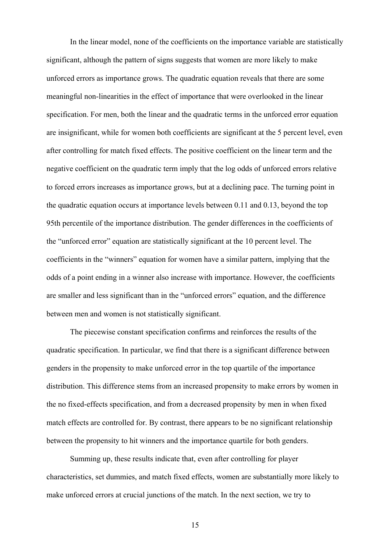In the linear model, none of the coefficients on the importance variable are statistically significant, although the pattern of signs suggests that women are more likely to make unforced errors as importance grows. The quadratic equation reveals that there are some meaningful non-linearities in the effect of importance that were overlooked in the linear specification. For men, both the linear and the quadratic terms in the unforced error equation are insignificant, while for women both coefficients are significant at the 5 percent level, even after controlling for match fixed effects. The positive coefficient on the linear term and the negative coefficient on the quadratic term imply that the log odds of unforced errors relative to forced errors increases as importance grows, but at a declining pace. The turning point in the quadratic equation occurs at importance levels between 0.11 and 0.13, beyond the top 95th percentile of the importance distribution. The gender differences in the coefficients of the "unforced error" equation are statistically significant at the 10 percent level. The coefficients in the "winners" equation for women have a similar pattern, implying that the odds of a point ending in a winner also increase with importance. However, the coefficients are smaller and less significant than in the "unforced errors" equation, and the difference between men and women is not statistically significant.

The piecewise constant specification confirms and reinforces the results of the quadratic specification. In particular, we find that there is a significant difference between genders in the propensity to make unforced error in the top quartile of the importance distribution. This difference stems from an increased propensity to make errors by women in the no fixed-effects specification, and from a decreased propensity by men in when fixed match effects are controlled for. By contrast, there appears to be no significant relationship between the propensity to hit winners and the importance quartile for both genders.

Summing up, these results indicate that, even after controlling for player characteristics, set dummies, and match fixed effects, women are substantially more likely to make unforced errors at crucial junctions of the match. In the next section, we try to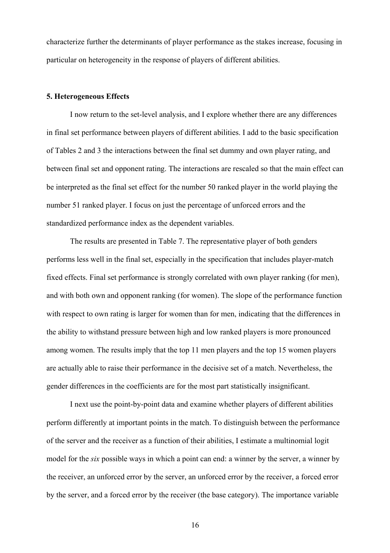characterize further the determinants of player performance as the stakes increase, focusing in particular on heterogeneity in the response of players of different abilities.

#### **5. Heterogeneous Effects**

I now return to the set-level analysis, and I explore whether there are any differences in final set performance between players of different abilities. I add to the basic specification of Tables 2 and 3 the interactions between the final set dummy and own player rating, and between final set and opponent rating. The interactions are rescaled so that the main effect can be interpreted as the final set effect for the number 50 ranked player in the world playing the number 51 ranked player. I focus on just the percentage of unforced errors and the standardized performance index as the dependent variables.

The results are presented in Table 7. The representative player of both genders performs less well in the final set, especially in the specification that includes player-match fixed effects. Final set performance is strongly correlated with own player ranking (for men), and with both own and opponent ranking (for women). The slope of the performance function with respect to own rating is larger for women than for men, indicating that the differences in the ability to withstand pressure between high and low ranked players is more pronounced among women. The results imply that the top 11 men players and the top 15 women players are actually able to raise their performance in the decisive set of a match. Nevertheless, the gender differences in the coefficients are for the most part statistically insignificant.

I next use the point-by-point data and examine whether players of different abilities perform differently at important points in the match. To distinguish between the performance of the server and the receiver as a function of their abilities, I estimate a multinomial logit model for the *six* possible ways in which a point can end: a winner by the server, a winner by the receiver, an unforced error by the server, an unforced error by the receiver, a forced error by the server, and a forced error by the receiver (the base category). The importance variable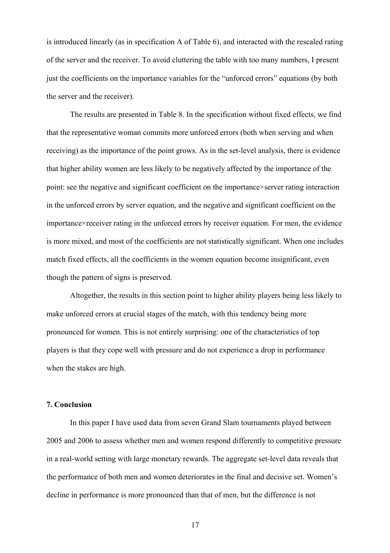is introduced linearly (as in specification A of Table 6), and interacted with the rescaled rating of the server and the receiver. To avoid cluttering the table with too many numbers, I present just the coefficients on the importance variables for the "unforced errors" equations (by both the server and the receiver).

The results are presented in Table 8. In the specification without fixed effects, we find that the representative woman commits more unforced errors (both when serving and when receiving) as the importance of the point grows. As in the set-level analysis, there is evidence that higher ability women are less likely to be negatively affected by the importance of the point: see the negative and significant coefficient on the importance×server rating interaction in the unforced errors by server equation, and the negative and significant coefficient on the importance×receiver rating in the unforced errors by receiver equation. For men, the evidence is more mixed, and most of the coefficients are not statistically significant. When one includes match fixed effects, all the coefficients in the women equation become insignificant, even though the pattern of signs is preserved.

Altogether, the results in this section point to higher ability players being less likely to make unforced errors at crucial stages of the match, with this tendency being more pronounced for women. This is not entirely surprising: one of the characteristics of top players is that they cope well with pressure and do not experience a drop in performance when the stakes are high.

## **7. Conclusion**

In this paper I have used data from seven Grand Slam tournaments played between 2005 and 2006 to assess whether men and women respond differently to competitive pressure in a real-world setting with large monetary rewards. The aggregate set-level data reveals that the performance of both men and women deteriorates in the final and decisive set. Women's decline in performance is more pronounced than that of men, but the difference is not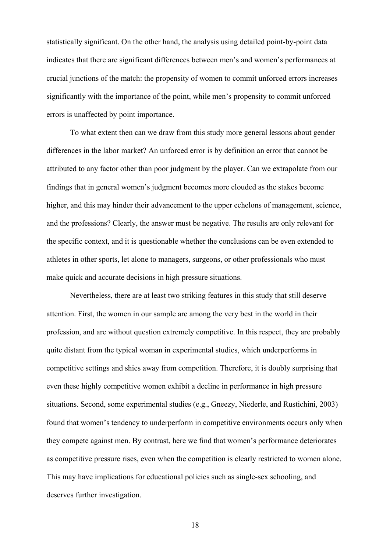statistically significant. On the other hand, the analysis using detailed point-by-point data indicates that there are significant differences between men's and women's performances at crucial junctions of the match: the propensity of women to commit unforced errors increases significantly with the importance of the point, while men's propensity to commit unforced errors is unaffected by point importance.

To what extent then can we draw from this study more general lessons about gender differences in the labor market? An unforced error is by definition an error that cannot be attributed to any factor other than poor judgment by the player. Can we extrapolate from our findings that in general women's judgment becomes more clouded as the stakes become higher, and this may hinder their advancement to the upper echelons of management, science, and the professions? Clearly, the answer must be negative. The results are only relevant for the specific context, and it is questionable whether the conclusions can be even extended to athletes in other sports, let alone to managers, surgeons, or other professionals who must make quick and accurate decisions in high pressure situations.

Nevertheless, there are at least two striking features in this study that still deserve attention. First, the women in our sample are among the very best in the world in their profession, and are without question extremely competitive. In this respect, they are probably quite distant from the typical woman in experimental studies, which underperforms in competitive settings and shies away from competition. Therefore, it is doubly surprising that even these highly competitive women exhibit a decline in performance in high pressure situations. Second, some experimental studies (e.g., Gneezy, Niederle, and Rustichini, 2003) found that women's tendency to underperform in competitive environments occurs only when they compete against men. By contrast, here we find that women's performance deteriorates as competitive pressure rises, even when the competition is clearly restricted to women alone. This may have implications for educational policies such as single-sex schooling, and deserves further investigation.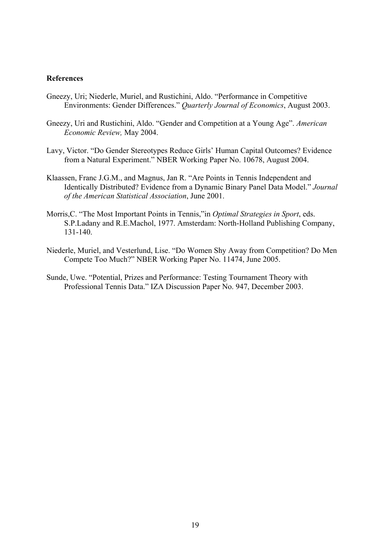#### **References**

- Gneezy, Uri; Niederle, Muriel, and Rustichini, Aldo. "Performance in Competitive Environments: Gender Differences." *Quarterly Journal of Economics*, August 2003.
- Gneezy, Uri and Rustichini, Aldo. "Gender and Competition at a Young Age". *American Economic Review,* May 2004.
- Lavy, Victor. "Do Gender Stereotypes Reduce Girls' Human Capital Outcomes? Evidence from a Natural Experiment." NBER Working Paper No. 10678, August 2004.
- Klaassen, Franc J.G.M., and Magnus, Jan R. "Are Points in Tennis Independent and Identically Distributed? Evidence from a Dynamic Binary Panel Data Model." *Journal of the American Statistical Association*, June 2001.
- Morris,C. "The Most Important Points in Tennis,"in *Optimal Strategies in Sport*, eds. S.P.Ladany and R.E.Machol, 1977. Amsterdam: North-Holland Publishing Company, 131-140.
- Niederle, Muriel, and Vesterlund, Lise. "Do Women Shy Away from Competition? Do Men Compete Too Much?" NBER Working Paper No. 11474, June 2005.
- Sunde, Uwe. "Potential, Prizes and Performance: Testing Tournament Theory with Professional Tennis Data." IZA Discussion Paper No. 947, December 2003.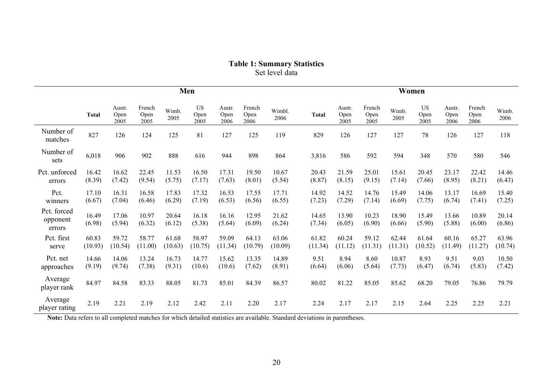| <b>Table 1: Summary Statistics</b> |
|------------------------------------|
| Set level data                     |

|                                   | Men              |                        |                        |                  |                           |                        |                        |                  | Women            |                        |                        |                  |                           |                        |                        |                  |
|-----------------------------------|------------------|------------------------|------------------------|------------------|---------------------------|------------------------|------------------------|------------------|------------------|------------------------|------------------------|------------------|---------------------------|------------------------|------------------------|------------------|
|                                   | <b>Total</b>     | Austr.<br>Open<br>2005 | French<br>Open<br>2005 | Wimb.<br>2005    | <b>US</b><br>Open<br>2005 | Austr.<br>Open<br>2006 | French<br>Open<br>2006 | Wimbl.<br>2006   | <b>Total</b>     | Austr.<br>Open<br>2005 | French<br>Open<br>2005 | Wimb.<br>2005    | <b>US</b><br>Open<br>2005 | Austr.<br>Open<br>2006 | French<br>Open<br>2006 | Wimb.<br>2006    |
| Number of<br>matches              | 827              | 126                    | 124                    | 125              | 81                        | 127                    | 125                    | 119              | 829              | 126                    | 127                    | 127              | 78                        | 126                    | 127                    | 118              |
| Number of<br>sets                 | 6,018            | 906                    | 902                    | 888              | 616                       | 944                    | 898                    | 864              | 3,816            | 586                    | 592                    | 594              | 348                       | 570                    | 580                    | 546              |
| Pct. unforced<br>errors           | 16.42<br>(8.39)  | 16.62<br>(7.42)        | 22.45<br>(9.54)        | 11.53<br>(5.75)  | 16.50<br>(7.17)           | 17.31<br>(7.63)        | 19.50<br>(8.01)        | 10.67<br>(5.54)  | 20.43<br>(8.87)  | 21.59<br>(8.15)        | 25.01<br>(9.15)        | 15.61<br>(7.14)  | 20.45<br>(7.66)           | 23.17<br>(8.95)        | 22.42<br>(8.21)        | 14.46<br>(6.43)  |
| Pct.<br>winners                   | 17.10<br>(6.67)  | 16.31<br>(7.04)        | 16.58<br>(6.46)        | 17.83<br>(6.29)  | 17.32<br>(7.19)           | 16.53<br>(6.53)        | 17.55<br>(6.56)        | 17.71<br>(6.55)  | 14.92<br>(7.23)  | 14.52<br>(7.29)        | 14.76<br>(7.14)        | 15.49<br>(6.69)  | 14.06<br>(7.75)           | 13.17<br>(6.74)        | 16.69<br>(7.41)        | 15.40<br>(7.25)  |
| Pct. forced<br>opponent<br>errors | 16.49<br>(6.98)  | 17.06<br>(5.94)        | 10.97<br>(6.32)        | 20.64<br>(6.12)  | 16.18<br>(5.38)           | 16.16<br>(5.64)        | 12.95<br>(6.09)        | 21.62<br>(6.24)  | 14.65<br>(7.34)  | 13.90<br>(6.05)        | 10.23<br>(6.90)        | 18.90<br>(6.66)  | 15.49<br>(5.90)           | 13.66<br>(5.88)        | 10.89<br>(6.00)        | 20.14<br>(6.86)  |
| Pct. first<br>serve               | 60.83<br>(10.93) | 59.72<br>(10.54)       | 58.77<br>(11.00)       | 61.68<br>(10.63) | 58.97<br>(10.75)          | 59.09<br>(11.34)       | 64.13<br>(10.79)       | 63.06<br>(10.09) | 61.82<br>(11.34) | 60.24<br>(11.12)       | 59.12<br>(11.31)       | 62.44<br>(11.31) | 61.64<br>(10.52)          | 60.16<br>(11.49)       | 65.27<br>(11.27)       | 63.96<br>(10.74) |
| Pct. net<br>approaches            | 14.66<br>(9.19)  | 14.06<br>(9.74)        | 13.24<br>(7.38)        | 16.73<br>(9.31)  | 14.77<br>(10.6)           | 15.62<br>(10.6)        | 13.35<br>(7.62)        | 14.89<br>(8.91)  | 9.51<br>(6.64)   | 8.94<br>(6.06)         | 8.60<br>(5.64)         | 10.87<br>(7.73)  | 8.93<br>(6.47)            | 9.51<br>(6.74)         | 9.03<br>(5.83)         | 10.50<br>(7.42)  |
| Average<br>player rank            | 84.97            | 84.58                  | 83.33                  | 88.05            | 81.73                     | 85.01                  | 84.39                  | 86.57            | 80.02            | 81.22                  | 85.05                  | 85.62            | 68.20                     | 79.05                  | 76.86                  | 79.79            |
| Average<br>player rating          | 2.19             | 2.21                   | 2.19                   | 2.12             | 2.42                      | 2.11                   | 2.20                   | 2.17             | 2.24             | 2.17                   | 2.17                   | 2.15             | 2.64                      | 2.25                   | 2.25                   | 2.21             |

Note: Data refers to all completed matches for which detailed statistics are available. Standard deviations in parentheses.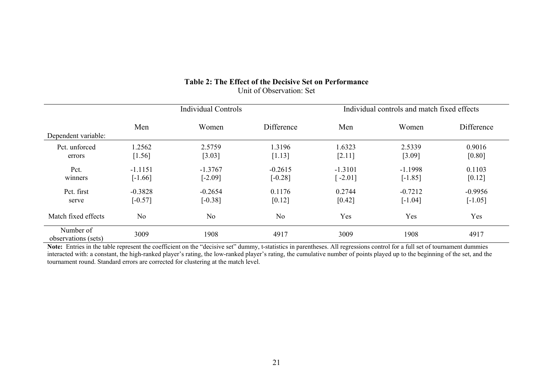# **Table 2: The Effect of the Decisive Set on Performance**  Unit of Observation: Set

|                                  |                | Individual Controls |            | Individual controls and match fixed effects |           |            |  |
|----------------------------------|----------------|---------------------|------------|---------------------------------------------|-----------|------------|--|
|                                  | Men            | Women               | Difference | Men                                         | Women     | Difference |  |
| Dependent variable:              |                |                     |            |                                             |           |            |  |
| Pct. unforced                    | 1.2562         | 2.5759              | .3196      | 1.6323                                      | 2.5339    | 0.9016     |  |
| errors                           | [1.56]         | [3.03]              | [1.13]     | [2.11]                                      | [3.09]    | [0.80]     |  |
| Pct.                             | $-1.1151$      | $-1.3767$           | $-0.2615$  | $-1.3101$                                   | $-1.1998$ | 0.1103     |  |
| winners                          | $[-1.66]$      | $[-2.09]$           | $[-0.28]$  | $[-2.01]$                                   | $[-1.85]$ | [0.12]     |  |
| Pct. first                       | $-0.3828$      | $-0.2654$           | 0.1176     | 0.2744                                      | $-0.7212$ | $-0.9956$  |  |
| serve                            | $[-0.57]$      | $[-0.38]$           | [0.12]     | [0.42]                                      | $[-1.04]$ | $[-1.05]$  |  |
| Match fixed effects              | N <sub>o</sub> | No.                 | No         | Yes                                         | Yes       | Yes        |  |
| Number of<br>observations (sets) | 3009           | 1908                | 4917       | 3009                                        | 1908      | 4917       |  |

**Note:** Entries in the table represent the coefficient on the "decisive set" dummy, t-statistics in parentheses. All regressions control for a full set of tournament dummies interacted with: a constant, the high-ranked player's rating, the low-ranked player's rating, the cumulative number of points played up to the beginning of the set, and the tournament round. Standard errors are corrected for clustering at the match level.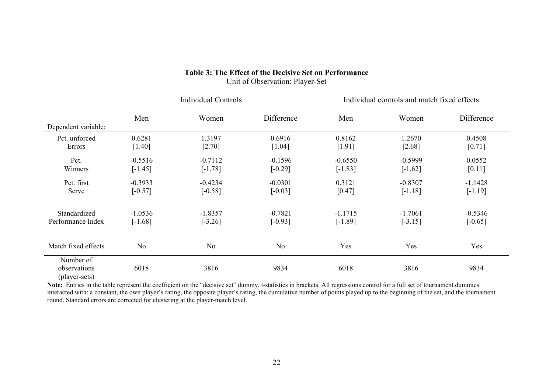|                                            |                | <b>Individual Controls</b> |                | Individual controls and match fixed effects |           |            |  |
|--------------------------------------------|----------------|----------------------------|----------------|---------------------------------------------|-----------|------------|--|
| Dependent variable:                        | Men            | Women                      | Difference     | Men                                         | Women     | Difference |  |
| Pct. unforced                              | 0.6281         | 1.3197                     | 0.6916         | 0.8162                                      | 1.2670    | 0.4508     |  |
| Errors                                     | [1.40]         | [2.70]                     | [1.04]         | [1.91]                                      | [2.68]    | [0.71]     |  |
| Pct.                                       | $-0.5516$      | $-0.7112$                  | $-0.1596$      | $-0.6550$                                   | $-0.5999$ | 0.0552     |  |
| Winners                                    | $[-1.45]$      | $[-1.78]$                  | $[-0.29]$      | $[-1.83]$                                   | $[-1.62]$ | [0.11]     |  |
| Pct. first                                 | $-0.3933$      | $-0.4234$                  | $-0.0301$      | 0.3121                                      | $-0.8307$ | $-1.1428$  |  |
| Serve                                      | $[-0.57]$      | $[-0.58]$                  | $[-0.03]$      | [0.47]                                      | $[-1.18]$ | $[-1.19]$  |  |
| Standardized                               | $-1.0536$      | $-1.8357$                  | $-0.7821$      | $-1.1715$                                   | $-1.7061$ | $-0.5346$  |  |
| Performance Index                          | $[-1.68]$      | $[-3.26]$                  | $[-0.93]$      | $[-1.89]$                                   | $[-3.15]$ | $[-0.65]$  |  |
| Match fixed effects                        | N <sub>0</sub> | N <sub>0</sub>             | N <sub>0</sub> | Yes                                         | Yes       | Yes        |  |
| Number of<br>observations<br>(player-sets) | 6018           | 3816                       | 9834           | 6018                                        | 3816      | 9834       |  |

## **Table 3: The Effect of the Decisive Set on Performance**  Unit of Observation: Player-Set

**Note:** Entries in the table represent the coefficient on the "decisive set" dummy, t-statistics in brackets. All regressions control for a full set of tournament dummies interacted with: a constant, the own player's rating, the opposite player's rating, the cumulative number of points played up to the beginning of the set, and the tournament round. Standard errors are corrected for clustering at the player-match level.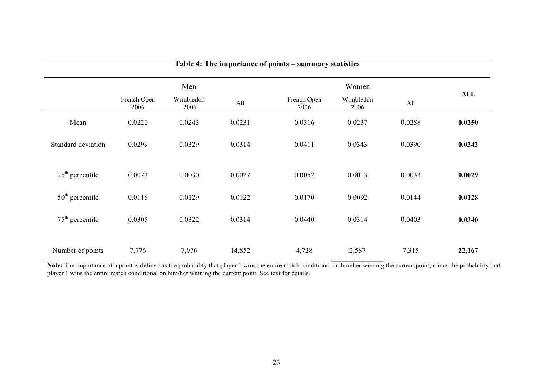| Table 4: The importance of points – summary statistics |                     |                   |        |                     |                   |        |        |  |  |  |
|--------------------------------------------------------|---------------------|-------------------|--------|---------------------|-------------------|--------|--------|--|--|--|
|                                                        |                     | Men               |        |                     | Women             |        |        |  |  |  |
|                                                        | French Open<br>2006 | Wimbledon<br>2006 | All    | French Open<br>2006 | Wimbledon<br>2006 | All    | ALL    |  |  |  |
| Mean                                                   | 0.0220              | 0.0243            | 0.0231 | 0.0316              | 0.0237            | 0.0288 | 0.0250 |  |  |  |
| Standard deviation                                     | 0.0299              | 0.0329            | 0.0314 | 0.0411              | 0.0343            | 0.0390 | 0.0342 |  |  |  |
| $25th$ percentile                                      | 0.0023              | 0.0030            | 0.0027 | 0.0052              | 0.0013            | 0.0033 | 0.0029 |  |  |  |
| $50th$ percentile                                      | 0.0116              | 0.0129            | 0.0122 | 0.0170              | 0.0092            | 0.0144 | 0.0128 |  |  |  |
| $75th$ percentile                                      | 0.0305              | 0.0322            | 0.0314 | 0.0440              | 0.0314            | 0.0403 | 0.0340 |  |  |  |
| Number of points                                       | 7,776               | 7,076             | 14,852 | 4,728               | 2,587             | 7,315  | 22,167 |  |  |  |

**Note:** The importance of a point is defined as the probability that player 1 wins the entire match conditional on him/her winning the current point, minus the probability that player 1 wins the entire match conditional on him/her winning the current point. See text for details.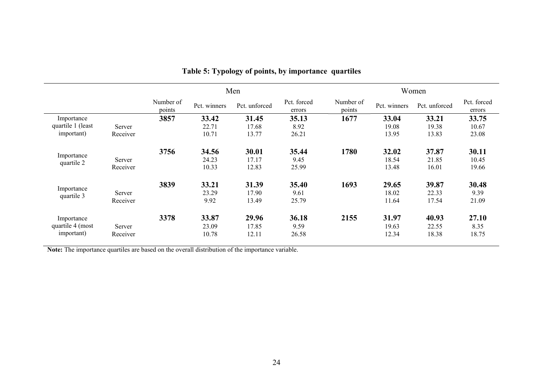|                          |          |                     |              | Men           |                       | Women               |              |               |                       |  |
|--------------------------|----------|---------------------|--------------|---------------|-----------------------|---------------------|--------------|---------------|-----------------------|--|
|                          |          | Number of<br>points | Pct. winners | Pct. unforced | Pct. forced<br>errors | Number of<br>points | Pct. winners | Pct. unforced | Pct. forced<br>errors |  |
| Importance               |          | 3857                | 33.42        | 31.45         | 35.13                 | 1677                | 33.04        | 33.21         | 33.75                 |  |
| quartile 1 (least        | Server   |                     | 22.71        | 17.68         | 8.92                  |                     | 19.08        | 19.38         | 10.67                 |  |
| important)               | Receiver |                     | 10.71        | 13.77         | 26.21                 |                     | 13.95        | 13.83         | 23.08                 |  |
|                          |          | 3756                | 34.56        | 30.01         | 35.44                 | 1780                | 32.02        | 37.87         | 30.11                 |  |
| Importance<br>quartile 2 | Server   |                     | 24.23        | 17.17         | 9.45                  |                     | 18.54        | 21.85         | 10.45                 |  |
|                          | Receiver |                     | 10.33        | 12.83         | 25.99                 |                     | 13.48        | 16.01         | 19.66                 |  |
|                          |          | 3839                | 33.21        | 31.39         | 35.40                 | 1693                | 29.65        | 39.87         | 30.48                 |  |
| Importance<br>quartile 3 | Server   |                     | 23.29        | 17.90         | 9.61                  |                     | 18.02        | 22.33         | 9.39                  |  |
|                          | Receiver |                     | 9.92         | 13.49         | 25.79                 |                     | 11.64        | 17.54         | 21.09                 |  |
| Importance               |          | 3378                | 33.87        | 29.96         | 36.18                 | 2155                | 31.97        | 40.93         | 27.10                 |  |
| quartile 4 (most         | Server   |                     | 23.09        | 17.85         | 9.59                  |                     | 19.63        | 22.55         | 8.35                  |  |
| important)               | Receiver |                     | 10.78        | 12.11         | 26.58                 |                     | 12.34        | 18.38         | 18.75                 |  |

# **Table 5: Typology of points, by importance quartiles**

**Note:** The importance quartiles are based on the overall distribution of the importance variable.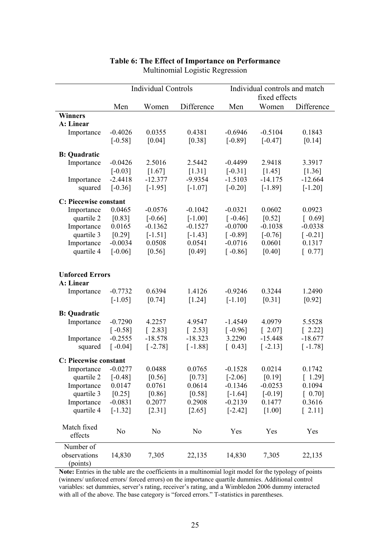|                        |                | <b>Individual Controls</b> |                | Individual controls and match<br>fixed effects |                      |                                      |  |
|------------------------|----------------|----------------------------|----------------|------------------------------------------------|----------------------|--------------------------------------|--|
|                        | Men            | Women                      | Difference     | Men                                            | Women                | Difference                           |  |
| <b>Winners</b>         |                |                            |                |                                                |                      |                                      |  |
| A: Linear              |                |                            |                |                                                |                      |                                      |  |
| Importance             | $-0.4026$      | 0.0355                     | 0.4381         | $-0.6946$                                      | $-0.5104$            | 0.1843                               |  |
|                        | $[-0.58]$      | [0.04]                     | [0.38]         | $[-0.89]$                                      | $[-0.47]$            | [0.14]                               |  |
| <b>B: Quadratic</b>    |                |                            |                |                                                |                      |                                      |  |
| Importance             | $-0.0426$      | 2.5016                     | 2.5442         | $-0.4499$                                      | 2.9418               | 3.3917                               |  |
|                        | $[-0.03]$      | [1.67]                     | [1.31]         | $[-0.31]$                                      | [1.45]               | [1.36]                               |  |
| Importance             | $-2.4418$      | $-12.377$                  | $-9.9354$      | $-1.5103$                                      | $-14.175$            | $-12.664$                            |  |
| squared                | $[-0.36]$      | $[-1.95]$                  | $[-1.07]$      | $[-0.20]$                                      | $[-1.89]$            | $[-1.20]$                            |  |
| C: Piecewise constant  |                |                            |                |                                                |                      |                                      |  |
| Importance             | 0.0465         | $-0.0576$                  | $-0.1042$      | $-0.0321$                                      | 0.0602               | 0.0923                               |  |
| quartile 2             | [0.83]         | $[-0.66]$                  | $[-1.00]$      | $\lceil -0.46 \rceil$                          | [0.52]               | [0.69]                               |  |
| Importance             | 0.0165         | $-0.1362$                  | $-0.1527$      | $-0.0700$                                      | $-0.1038$            | $-0.0338$                            |  |
| quartile 3             | [0.29]         | $[-1.51]$                  | $[-1.43]$      | $[-0.89]$                                      | $[-0.76]$            | $[-0.21]$                            |  |
| Importance             | $-0.0034$      | 0.0508                     | 0.0541         | $-0.0716$                                      | 0.0601               | 0.1317                               |  |
| quartile 4             | $[-0.06]$      | [0.56]                     | [0.49]         | $[-0.86]$                                      | [0.40]               | [0.77]                               |  |
|                        |                |                            |                |                                                |                      |                                      |  |
| <b>Unforced Errors</b> |                |                            |                |                                                |                      |                                      |  |
| A: Linear              |                |                            |                |                                                |                      |                                      |  |
| Importance             | $-0.7732$      | 0.6394                     | 1.4126         | $-0.9246$                                      | 0.3244               | 1.2490                               |  |
|                        | $[-1.05]$      | [0.74]                     | [1.24]         | $[-1.10]$                                      | [0.31]               | [0.92]                               |  |
| <b>B: Quadratic</b>    |                |                            |                |                                                |                      |                                      |  |
| Importance             | $-0.7290$      | 4.2257                     | 4.9547         | $-1.4549$                                      | 4.0979               | 5.5528                               |  |
|                        | $[-0.58]$      | [2.83]                     | [2.53]         | $\lceil -0.96 \rceil$                          | $\lceil 2.07 \rceil$ | $\begin{bmatrix} 2.22 \end{bmatrix}$ |  |
| Importance             | $-0.2555$      | $-18.578$                  | $-18.323$      | 3.2290                                         | $-15.448$            | $-18.677$                            |  |
| squared                | $[-0.04]$      | $[-2.78]$                  | $[-1.88]$      | [0.43]                                         | $[-2.13]$            | $[-1.78]$                            |  |
| C: Piecewise constant  |                |                            |                |                                                |                      |                                      |  |
| Importance             | $-0.0277$      | 0.0488                     | 0.0765         | $-0.1528$                                      | 0.0214               | 0.1742                               |  |
| quartile 2             | $[-0.48]$      | [0.56]                     | [0.73]         | $[-2.06]$                                      | [0.19]               | [1.29]                               |  |
| Importance             | 0.0147         | 0.0761                     | 0.0614         | $-0.1346$                                      | $-0.0253$            | 0.1094                               |  |
| quartile 3             | [0.25]         | $[0.86]$                   | $[0.58]$       | $[-1.64]$                                      | $[-0.19]$            | $[0.70]$                             |  |
| Importance             | $-0.0831$      | 0.2077                     | 0.2908         | $-0.2139$                                      | 0.1477               | 0.3616                               |  |
| quartile 4             | $[-1.32]$      | [2.31]                     | $[2.65]$       | $[-2.42]$                                      | [1.00]               | $\begin{bmatrix} 2.11 \end{bmatrix}$ |  |
|                        |                |                            |                |                                                |                      |                                      |  |
| Match fixed            |                |                            |                |                                                |                      |                                      |  |
| effects                | N <sub>0</sub> | N <sub>0</sub>             | N <sub>0</sub> | Yes                                            | Yes                  | Yes                                  |  |
| Number of              |                |                            |                |                                                |                      |                                      |  |
| observations           | 14,830         | 7,305                      | 22,135         | 14,830                                         | 7,305                | 22,135                               |  |
| (points)               |                |                            |                |                                                |                      |                                      |  |

# **Table 6: The Effect of Importance on Performance**  Multinomial Logistic Regression

**Note:** Entries in the table are the coefficients in a multinomial logit model for the typology of points (winners/ unforced errors/ forced errors) on the importance quartile dummies. Additional control variables: set dummies, server's rating, receiver's rating, and a Wimbledon 2006 dummy interacted with all of the above. The base category is "forced errors." T-statistics in parentheses.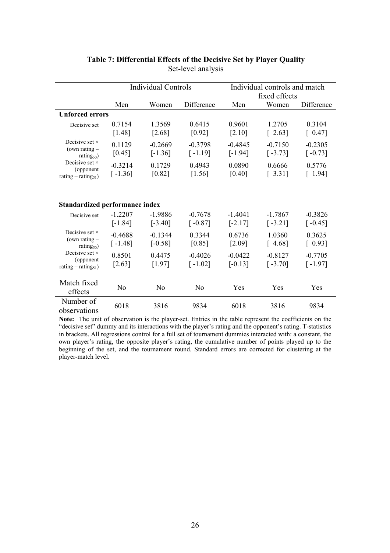|                                        |                | <b>Individual Controls</b> |            | Individual controls and match |                                      |            |  |  |
|----------------------------------------|----------------|----------------------------|------------|-------------------------------|--------------------------------------|------------|--|--|
|                                        |                |                            |            |                               | fixed effects                        |            |  |  |
|                                        | Men            | Women                      | Difference | Men                           | Women                                | Difference |  |  |
| <b>Unforced errors</b>                 |                |                            |            |                               |                                      |            |  |  |
| Decisive set                           | 0.7154         | 1.3569                     | 0.6415     | 0.9601                        | 1.2705                               | 0.3104     |  |  |
|                                        | [1.48]         | [2.68]                     | [0.92]     | [2.10]                        | $\begin{bmatrix} 2.63 \end{bmatrix}$ | [0.47]     |  |  |
| Decisive set $\times$                  | 0.1129         | $-0.2669$                  | $-0.3798$  | $-0.4845$                     | $-0.7150$                            | $-0.2305$  |  |  |
| (own rating $-$<br>rating $_{50}$ )    | [0.45]         | $[-1.36]$                  | $[-1.19]$  | $[-1.94]$                     | $[-3.73]$                            | $[-0.73]$  |  |  |
| Decisive set $\times$                  | $-0.3214$      | 0.1729                     | 0.4943     | 0.0890                        | 0.6666                               | 0.5776     |  |  |
| (opponent<br>rating – rating $_{51}$ ) | $[-1.36]$      | [0.82]                     | [1.56]     | [0.40]                        | [3.31]                               | [1.94]     |  |  |
|                                        |                |                            |            |                               |                                      |            |  |  |
|                                        |                |                            |            |                               |                                      |            |  |  |
| <b>Standardized performance index</b>  |                |                            |            |                               |                                      |            |  |  |
| Decisive set                           | $-1.2207$      | $-1.9886$                  | $-0.7678$  | $-1.4041$                     | $-1.7867$                            | $-0.3826$  |  |  |
|                                        | $[-1.84]$      | $[-3.40]$                  | $[-0.87]$  | $[-2.17]$                     | $[-3.21]$                            | $[-0.45]$  |  |  |
| Decisive set $\times$                  | $-0.4688$      | $-0.1344$                  | 0.3344     | 0.6736                        | 1.0360                               | 0.3625     |  |  |
| (own rating $-$<br>rating $_{50}$ )    | $[-1.48]$      | $[-0.58]$                  | [0.85]     | [2.09]                        | [4.68]                               | [0.93]     |  |  |
| Decisive set $\times$                  | 0.8501         | 0.4475                     | $-0.4026$  | $-0.0422$                     | $-0.8127$                            | $-0.7705$  |  |  |
| (opponent)                             | [2.63]         | [1.97]                     | $[-1.02]$  | $[-0.13]$                     | $[-3.70]$                            | $[-1.97]$  |  |  |
| rating – rating <sub>51</sub> )        |                |                            |            |                               |                                      |            |  |  |
| Match fixed                            |                |                            |            |                               |                                      |            |  |  |
| effects                                | N <sub>0</sub> | No                         | No         | Yes                           | Yes                                  | Yes        |  |  |
| Number of<br>observations              | 6018           | 3816                       | 9834       | 6018                          | 3816                                 | 9834       |  |  |

## **Table 7: Differential Effects of the Decisive Set by Player Quality**  Set-level analysis

**Note:** The unit of observation is the player-set. Entries in the table represent the coefficients on the "decisive set" dummy and its interactions with the player's rating and the opponent's rating. T-statistics in brackets. All regressions control for a full set of tournament dummies interacted with: a constant, the own player's rating, the opposite player's rating, the cumulative number of points played up to the beginning of the set, and the tournament round. Standard errors are corrected for clustering at the player-match level.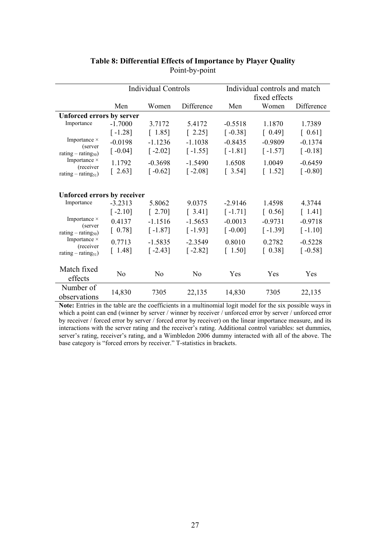|                                              |                                    | <b>Individual Controls</b> |                      | Individual controls and match |           |            |  |  |  |  |  |  |
|----------------------------------------------|------------------------------------|----------------------------|----------------------|-------------------------------|-----------|------------|--|--|--|--|--|--|
|                                              |                                    |                            |                      | fixed effects                 |           |            |  |  |  |  |  |  |
|                                              | Men                                | Women                      | Difference           | Men                           | Women     | Difference |  |  |  |  |  |  |
| <b>Unforced errors by server</b>             |                                    |                            |                      |                               |           |            |  |  |  |  |  |  |
| Importance                                   | $-1.7000$                          | 3.7172                     | 5.4172               | $-0.5518$                     | 1.1870    | 1.7389     |  |  |  |  |  |  |
|                                              | $[-1.28]$                          | [1.85]                     | $\lceil 2.25 \rceil$ | $[-0.38]$                     | [0.49]    | [0.61]     |  |  |  |  |  |  |
| Importance $\times$                          | $-0.0198$                          | $-1.1236$                  | $-1.1038$            | $-0.8435$                     | $-0.9809$ | $-0.1374$  |  |  |  |  |  |  |
| (server<br>rating $-$ rating <sub>50</sub> ) | $[-0.04]$                          | $[-2.02]$                  | $[-1.55]$            | $[-1.81]$                     | $[-1.57]$ | $[-0.18]$  |  |  |  |  |  |  |
| Importance $\times$                          | 1.1792                             | $-0.3698$                  | $-1.5490$            | 1.6508                        | 1.0049    | $-0.6459$  |  |  |  |  |  |  |
| (receiver<br>rating – rating <sub>51</sub> ) | $\lceil 2.63 \rceil$               | $\lceil -0.62 \rceil$      | $[-2.08]$            | [3.54]                        | [1.52]    | $[-0.80]$  |  |  |  |  |  |  |
|                                              |                                    |                            |                      |                               |           |            |  |  |  |  |  |  |
|                                              | <b>Unforced errors by receiver</b> |                            |                      |                               |           |            |  |  |  |  |  |  |
| Importance                                   | $-3.2313$                          | 5.8062                     | 9.0375               | $-2.9146$                     | 1.4598    | 4.3744     |  |  |  |  |  |  |
|                                              | $[-2.10]$                          | [2.70]                     | [3.41]               | $[-1.71]$                     | [0.56]    | [1.41]     |  |  |  |  |  |  |
| Importance $\times$                          | 0.4137                             | $-1.1516$                  | $-1.5653$            | $-0.0013$                     | $-0.9731$ | $-0.9718$  |  |  |  |  |  |  |
| (server<br>rating $-$ rating <sub>50</sub> ) | [0.78]                             | $[-1.87]$                  | $[-1.93]$            | $\lceil -0.00 \rceil$         | $[-1.39]$ | $[-1.10]$  |  |  |  |  |  |  |
| Importance $\times$                          | 0.7713                             | $-1.5835$                  | $-2.3549$            | 0.8010                        | 0.2782    | $-0.5228$  |  |  |  |  |  |  |
| (receiver                                    | [1.48]                             | $[-2.43]$                  | $[-2.82]$            | [1.50]                        | [0.38]    | $[-0.58]$  |  |  |  |  |  |  |
| rating – rating <sub>51</sub> )              |                                    |                            |                      |                               |           |            |  |  |  |  |  |  |
| Match fixed                                  |                                    |                            |                      |                               |           |            |  |  |  |  |  |  |
| effects                                      | No                                 | N <sub>0</sub>             | No                   | Yes                           | Yes       | Yes        |  |  |  |  |  |  |
| Number of<br>observations                    | 14,830                             | 7305                       | 22,135               | 14,830                        | 7305      | 22,135     |  |  |  |  |  |  |

# **Table 8: Differential Effects of Importance by Player Quality**  Point-by-point

Note: Entries in the table are the coefficients in a multinomial logit model for the six possible ways in which a point can end (winner by server / winner by receiver / unforced error by server / unforced error by receiver / forced error by server / forced error by receiver) on the linear importance measure, and its interactions with the server rating and the receiver's rating. Additional control variables: set dummies, server's rating, receiver's rating, and a Wimbledon 2006 dummy interacted with all of the above. The base category is "forced errors by receiver." T-statistics in brackets.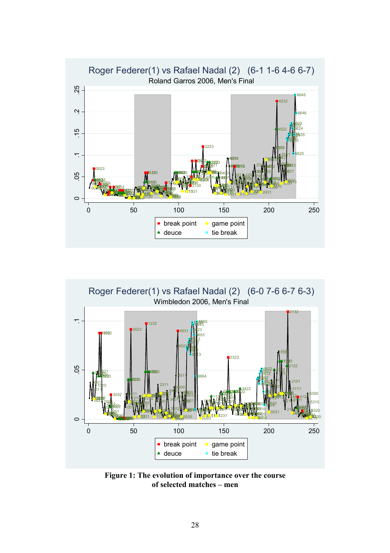



**Figure 1: The evolution of importance over the course of selected matches – men**